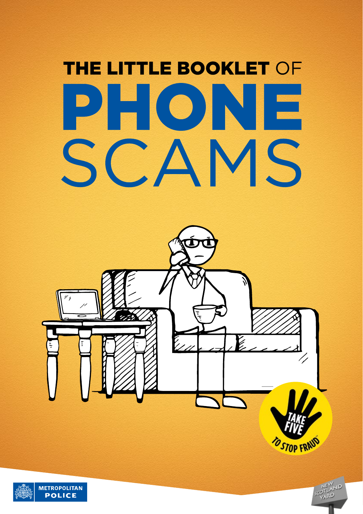# **THE LITTLE BOOKLET OF** PHONE SCAMS



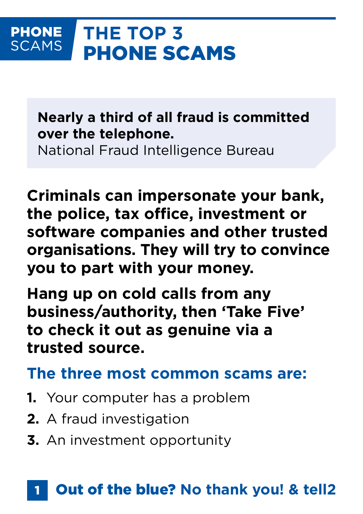#### **THE TOP 3 PHONE SCAMS** PHONE SCAMS

**Nearly a third of all fraud is committed over the telephone.**

National Fraud Intelligence Bureau

**Criminals can impersonate your bank, the police, tax office, investment or software companies and other trusted organisations. They will try to convince you to part with your money.**

**Hang up on cold calls from any business/authority, then 'Take Five' to check it out as genuine via a trusted source.**

**The three most common scams are:**

- **1.** Your computer has a problem
- **2.** A fraud investigation
- **3.** An investment opportunity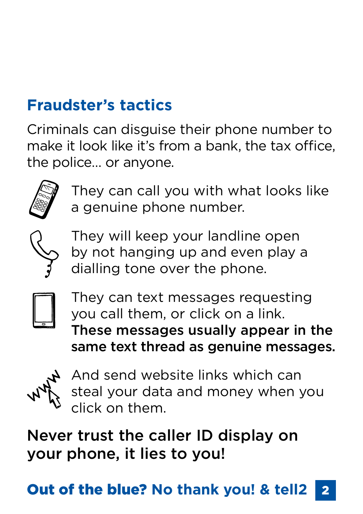# **Fraudster's tactics**

Criminals can disguise their phone number to make it look like it's from a bank, the tax office, the police… or anyone.



They can call you with what looks like a genuine phone number.



They will keep your landline open by not hanging up and even play a dialling tone over the phone.



They can text messages requesting you call them, or click on a link. These messages usually appear in the same text thread as genuine messages.



And send website links which can steal your data and money when you click on them.

Never trust the caller ID display on your phone, it lies to you!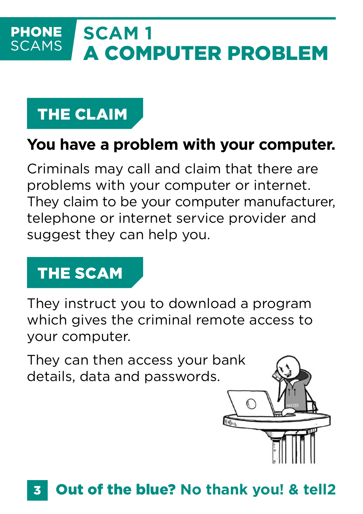#### **SCAM 1 PHONE SCAMS** A COMPUTER PROBLEM

# THE CLAIM

### **You have a problem with your computer.**

Criminals may call and claim that there are problems with your computer or internet. They claim to be your computer manufacturer, telephone or internet service provider and suggest they can help you.

# THE SCAM

They instruct you to download a program which gives the criminal remote access to your computer.

They can then access your bank details, data and passwords.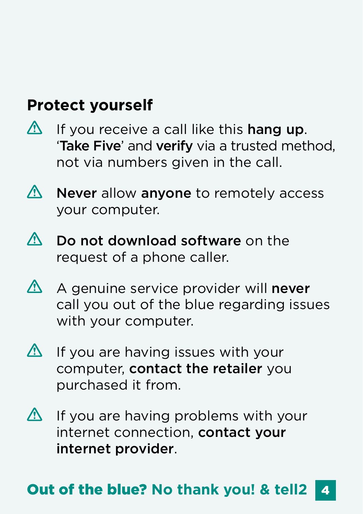### **Protect yourself**

- $\bigwedge$ If you receive a call like this hang up. 'Take Five' and verify via a trusted method, not via numbers given in the call.
- $\bigwedge$ Never allow anyone to remotely access your computer.
- $\Lambda$ Do not download software on the request of a phone caller.
- $\overline{\mathbb{V}}$ A genuine service provider will never call you out of the blue regarding issues with your computer.
- $\bigwedge$ If you are having issues with your computer, contact the retailer you purchased it from.
- $\Delta$ If you are having problems with your internet connection, contact your internet provider.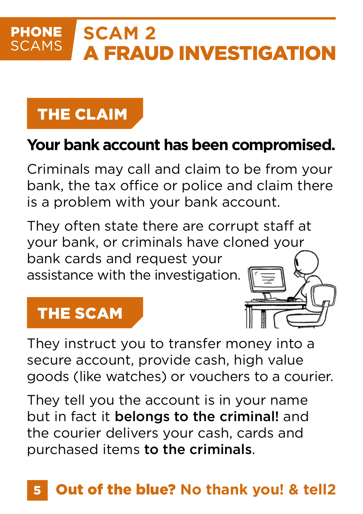#### **PHONE SCAM 2 SCAMS** A FRAUD INVESTIGATION

# THE CLAIM

### **Your bank account has been compromised.**

Criminals may call and claim to be from your bank, the tax office or police and claim there is a problem with your bank account.

They often state there are corrupt staff at your bank, or criminals have cloned your bank cards and request your assistance with the investigation.

### THE SCAM

They instruct you to transfer money into a secure account, provide cash, high value goods (like watches) or vouchers to a courier.

They tell you the account is in your name but in fact it belongs to the criminal! and the courier delivers your cash, cards and purchased items to the criminals.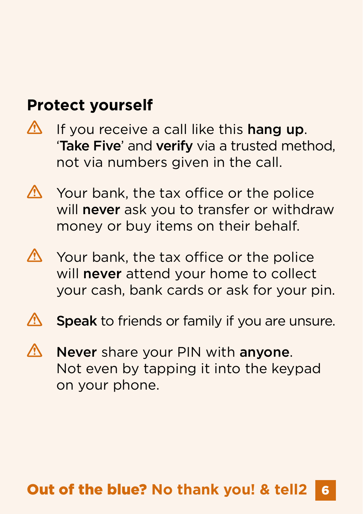### **Protect yourself**

- $\bigwedge$ If you receive a call like this hang up. 'Take Five' and verify via a trusted method, not via numbers given in the call.
- Λ. Your bank, the tax office or the police will never ask you to transfer or withdraw money or buy items on their behalf.
- **N** Your bank, the tax office or the police will **never** attend your home to collect your cash, bank cards or ask for your pin.
- **A** Speak to friends or family if you are unsure.
- Never share your PIN with anyone. Λ Not even by tapping it into the keypad on your phone.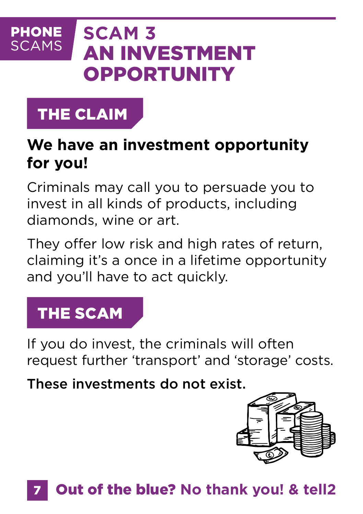#### **PHONE SCAM 3 SCAMS** AN INVESTMENT **OPPORTUNITY**

# THE CLAIM

### **We have an investment opportunity for you!**

Criminals may call you to persuade you to invest in all kinds of products, including diamonds, wine or art.

They offer low risk and high rates of return, claiming it's a once in a lifetime opportunity and you'll have to act quickly.

# THE SCAM

If you do invest, the criminals will often request further 'transport' and 'storage' costs.

These investments do not exist.

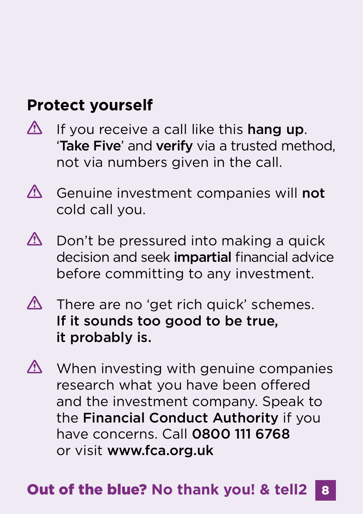### **Protect yourself**

- $\bigwedge$ If you receive a call like this hang up. 'Take Five' and verify via a trusted method, not via numbers given in the call.
- $\bigwedge$ Genuine investment companies will not cold call you.
- $\bigwedge$ Don't be pressured into making a quick decision and seek *impartial* financial advice before committing to any investment.
- $\triangle$  There are no 'get rich quick' schemes. If it sounds too good to be true, it probably is.
- $\triangle$  When investing with genuine companies research what you have been offered and the investment company. Speak to the Financial Conduct Authority if you have concerns. Call 0800 111 6768 or visit [www.fca.org.uk](http://www.fca.org.uk)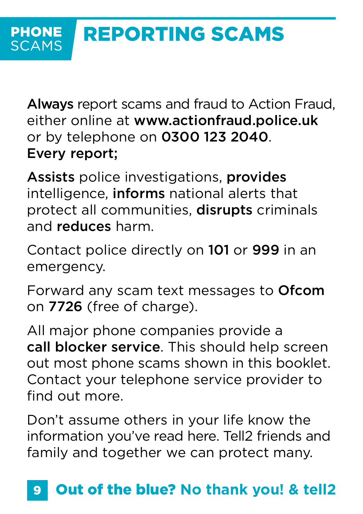Always report scams and fraud to Action Fraud, either online at [www.actionfraud.police.uk](http://www.actionfraud.police.uk) or by telephone on 0300 123 2040. Every report;

Assists police investigations, provides intelligence, informs national alerts that protect all communities, disrupts criminals and reduces harm.

Contact police directly on 101 or 999 in an emergency.

Forward any scam text messages to Ofcom on 7726 (free of charge).

All major phone companies provide a call blocker service. This should help screen out most phone scams shown in this booklet. Contact your telephone service provider to find out more.

Don't assume others in your life know the information you've read here. Tell2 friends and family and together we can protect many.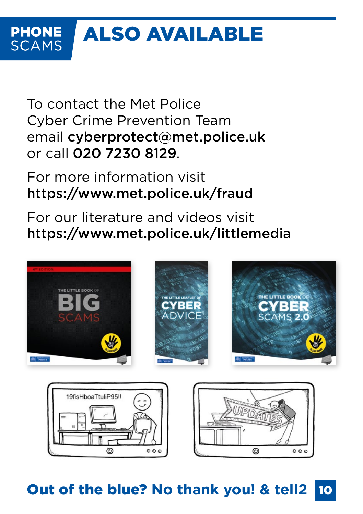#### ALSO AVAILABLE **PHONE SCAMS**

To contact the Met Police Cyber Crime Prevention Team email [cyberprotect@met.police.uk](mailto:cyberprotect@met.police.uk) or call 020 7230 8129.

For more information visit <https://www.met.police.uk/fraud>

For our literature and videos visit <https://www.met.police.uk/littlemedia>